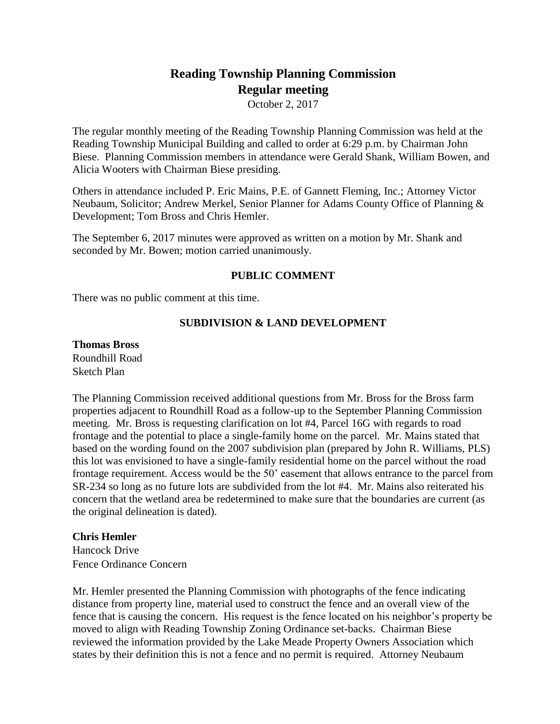# **Reading Township Planning Commission Regular meeting**

October 2, 2017

The regular monthly meeting of the Reading Township Planning Commission was held at the Reading Township Municipal Building and called to order at 6:29 p.m. by Chairman John Biese. Planning Commission members in attendance were Gerald Shank, William Bowen, and Alicia Wooters with Chairman Biese presiding.

Others in attendance included P. Eric Mains, P.E. of Gannett Fleming, Inc.; Attorney Victor Neubaum, Solicitor; Andrew Merkel, Senior Planner for Adams County Office of Planning & Development; Tom Bross and Chris Hemler.

The September 6, 2017 minutes were approved as written on a motion by Mr. Shank and seconded by Mr. Bowen; motion carried unanimously.

# **PUBLIC COMMENT**

There was no public comment at this time.

# **SUBDIVISION & LAND DEVELOPMENT**

**Thomas Bross** Roundhill Road Sketch Plan

The Planning Commission received additional questions from Mr. Bross for the Bross farm properties adjacent to Roundhill Road as a follow-up to the September Planning Commission meeting. Mr. Bross is requesting clarification on lot #4, Parcel 16G with regards to road frontage and the potential to place a single-family home on the parcel. Mr. Mains stated that based on the wording found on the 2007 subdivision plan (prepared by John R. Williams, PLS) this lot was envisioned to have a single-family residential home on the parcel without the road frontage requirement. Access would be the 50' easement that allows entrance to the parcel from SR-234 so long as no future lots are subdivided from the lot #4. Mr. Mains also reiterated his concern that the wetland area be redetermined to make sure that the boundaries are current (as the original delineation is dated).

## **Chris Hemler**

Hancock Drive Fence Ordinance Concern

Mr. Hemler presented the Planning Commission with photographs of the fence indicating distance from property line, material used to construct the fence and an overall view of the fence that is causing the concern. His request is the fence located on his neighbor's property be moved to align with Reading Township Zoning Ordinance set-backs. Chairman Biese reviewed the information provided by the Lake Meade Property Owners Association which states by their definition this is not a fence and no permit is required. Attorney Neubaum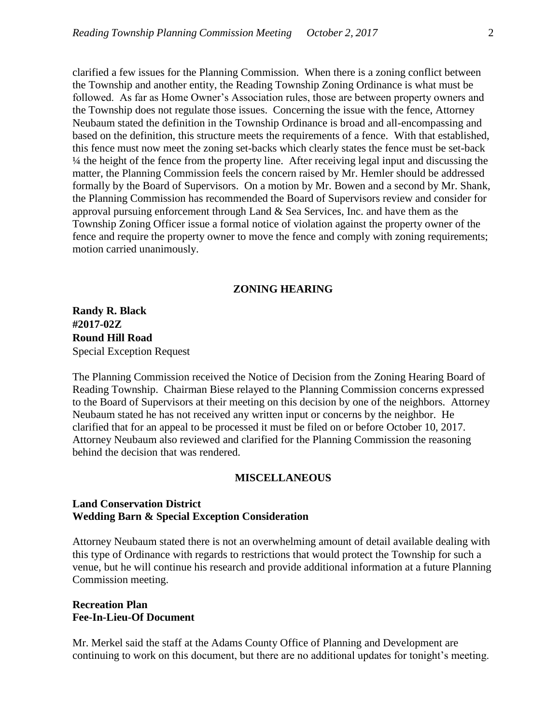clarified a few issues for the Planning Commission. When there is a zoning conflict between the Township and another entity, the Reading Township Zoning Ordinance is what must be followed. As far as Home Owner's Association rules, those are between property owners and the Township does not regulate those issues. Concerning the issue with the fence, Attorney Neubaum stated the definition in the Township Ordinance is broad and all-encompassing and based on the definition, this structure meets the requirements of a fence. With that established, this fence must now meet the zoning set-backs which clearly states the fence must be set-back ¼ the height of the fence from the property line. After receiving legal input and discussing the matter, the Planning Commission feels the concern raised by Mr. Hemler should be addressed formally by the Board of Supervisors. On a motion by Mr. Bowen and a second by Mr. Shank, the Planning Commission has recommended the Board of Supervisors review and consider for approval pursuing enforcement through Land & Sea Services, Inc. and have them as the Township Zoning Officer issue a formal notice of violation against the property owner of the fence and require the property owner to move the fence and comply with zoning requirements; motion carried unanimously.

#### **ZONING HEARING**

**Randy R. Black #2017-02Z Round Hill Road** Special Exception Request

The Planning Commission received the Notice of Decision from the Zoning Hearing Board of Reading Township. Chairman Biese relayed to the Planning Commission concerns expressed to the Board of Supervisors at their meeting on this decision by one of the neighbors. Attorney Neubaum stated he has not received any written input or concerns by the neighbor. He clarified that for an appeal to be processed it must be filed on or before October 10, 2017. Attorney Neubaum also reviewed and clarified for the Planning Commission the reasoning behind the decision that was rendered.

#### **MISCELLANEOUS**

## **Land Conservation District Wedding Barn & Special Exception Consideration**

Attorney Neubaum stated there is not an overwhelming amount of detail available dealing with this type of Ordinance with regards to restrictions that would protect the Township for such a venue, but he will continue his research and provide additional information at a future Planning Commission meeting.

## **Recreation Plan Fee-In-Lieu-Of Document**

Mr. Merkel said the staff at the Adams County Office of Planning and Development are continuing to work on this document, but there are no additional updates for tonight's meeting.